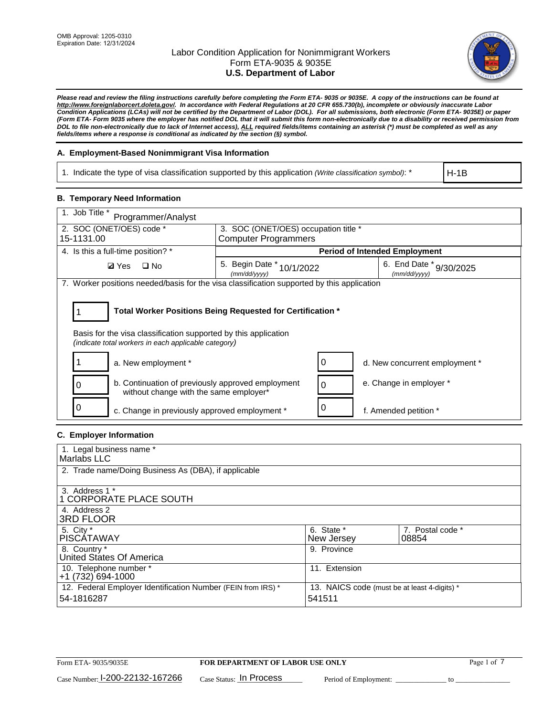

*Please read and review the filing instructions carefully before completing the Form ETA- 9035 or 9035E. A copy of the instructions can be found at http://www.foreignlaborcert.doleta.gov/. In accordance with Federal Regulations at 20 CFR 655.730(b), incomplete or obviously inaccurate Labor Condition Applications (LCAs) will not be certified by the Department of Labor (DOL). For all submissions, both electronic (Form ETA- 9035E) or paper (Form ETA- Form 9035 where the employer has notified DOL that it will submit this form non-electronically due to a disability or received permission from DOL to file non-electronically due to lack of Internet access), ALL required fields/items containing an asterisk (\*) must be completed as well as any fields/items where a response is conditional as indicated by the section (§) symbol.* 

## **A. Employment-Based Nonimmigrant Visa Information**

1. Indicate the type of visa classification supported by this application *(Write classification symbol)*: \*

H-1B

### **B. Temporary Need Information**

| 1. Job Title *<br>Programmer/Analyst                                                                                                                                                  |                                                                                         |   |                                      |  |  |  |
|---------------------------------------------------------------------------------------------------------------------------------------------------------------------------------------|-----------------------------------------------------------------------------------------|---|--------------------------------------|--|--|--|
| 2. SOC (ONET/OES) code *                                                                                                                                                              | 3. SOC (ONET/OES) occupation title *                                                    |   |                                      |  |  |  |
| 15-1131.00                                                                                                                                                                            | <b>Computer Programmers</b>                                                             |   |                                      |  |  |  |
| 4. Is this a full-time position? *                                                                                                                                                    |                                                                                         |   | <b>Period of Intended Employment</b> |  |  |  |
| $\Box$ No<br><b>Ø</b> Yes                                                                                                                                                             | 5. Begin Date *<br>6. End Date * 9/30/2025<br>10/1/2022<br>(mm/dd/vvvv)<br>(mm/dd/yyyy) |   |                                      |  |  |  |
| 7. Worker positions needed/basis for the visa classification supported by this application                                                                                            |                                                                                         |   |                                      |  |  |  |
| Total Worker Positions Being Requested for Certification *<br>Basis for the visa classification supported by this application<br>(indicate total workers in each applicable category) |                                                                                         |   |                                      |  |  |  |
| a. New employment *                                                                                                                                                                   |                                                                                         | 0 | d. New concurrent employment *       |  |  |  |
| b. Continuation of previously approved employment<br>without change with the same employer*                                                                                           |                                                                                         | 0 | e. Change in employer *              |  |  |  |
| c. Change in previously approved employment *                                                                                                                                         |                                                                                         |   | f. Amended petition *                |  |  |  |

## **C. Employer Information**

| 1. Legal business name *                                     |                                              |                  |
|--------------------------------------------------------------|----------------------------------------------|------------------|
| Marlabs LLC                                                  |                                              |                  |
| 2. Trade name/Doing Business As (DBA), if applicable         |                                              |                  |
|                                                              |                                              |                  |
| 3. Address 1 *                                               |                                              |                  |
| 1 CORPORATE PLACE SOUTH                                      |                                              |                  |
| 4. Address 2                                                 |                                              |                  |
| <b>3RD FLOOR</b>                                             |                                              |                  |
| 5. City *                                                    | 6. State *                                   | 7. Postal code * |
| PISCÁTAWAY                                                   | New Jersey                                   | 08854            |
| 8. Country *                                                 | 9. Province                                  |                  |
| United States Of America                                     |                                              |                  |
| 10. Telephone number *                                       | 11. Extension                                |                  |
| $+1(732)694-1000$                                            |                                              |                  |
| 12. Federal Employer Identification Number (FEIN from IRS) * | 13. NAICS code (must be at least 4-digits) * |                  |
| 54-1816287                                                   | 541511                                       |                  |
|                                                              |                                              |                  |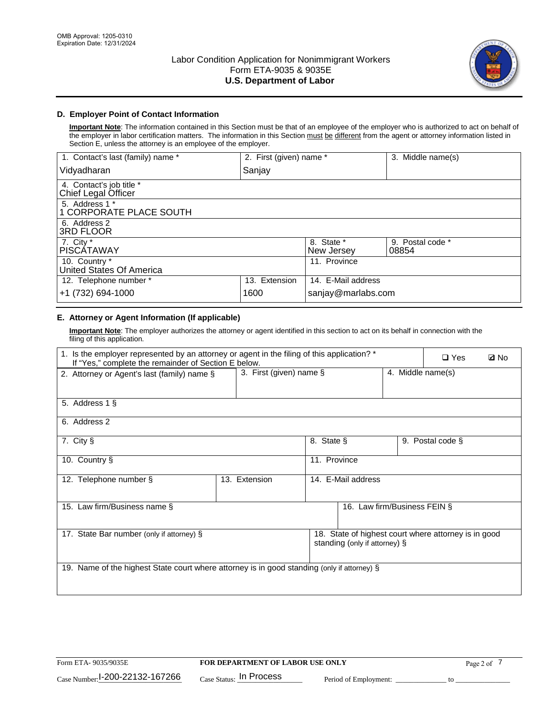

# **D. Employer Point of Contact Information**

**Important Note**: The information contained in this Section must be that of an employee of the employer who is authorized to act on behalf of the employer in labor certification matters. The information in this Section must be different from the agent or attorney information listed in Section E, unless the attorney is an employee of the employer.

| 1. Contact's last (family) name *               | 2. First (given) name * |                          | 3. Middle name(s)         |
|-------------------------------------------------|-------------------------|--------------------------|---------------------------|
| Vidyadharan                                     | Sanjay                  |                          |                           |
| 4. Contact's job title *<br>Chief Legal Officer |                         |                          |                           |
| 5. Address 1 *<br>1 CORPORATE PLACE SOUTH       |                         |                          |                           |
| 6. Address 2<br>3RD FLOOR                       |                         |                          |                           |
| 7. City $*$<br><b>PISCÁTAWAY</b>                |                         | 8. State *<br>New Jersey | 9. Postal code *<br>08854 |
| 10. Country *<br>United States Of America       |                         | 11. Province             |                           |
| 12. Telephone number *                          | 13. Extension           | 14. E-Mail address       |                           |
| +1 (732) 694-1000                               | 1600                    | sanjay@marlabs.com       |                           |

# **E. Attorney or Agent Information (If applicable)**

**Important Note**: The employer authorizes the attorney or agent identified in this section to act on its behalf in connection with the filing of this application.

| 1. Is the employer represented by an attorney or agent in the filing of this application? *<br>If "Yes," complete the remainder of Section E below. |                            |                    |                              | $\Box$ Yes        | <b>Ø</b> No      |  |
|-----------------------------------------------------------------------------------------------------------------------------------------------------|----------------------------|--------------------|------------------------------|-------------------|------------------|--|
| 2. Attorney or Agent's last (family) name §                                                                                                         | 3. First (given) name $\S$ |                    |                              | 4. Middle name(s) |                  |  |
| 5. Address 1 §                                                                                                                                      |                            |                    |                              |                   |                  |  |
| 6. Address 2                                                                                                                                        |                            |                    |                              |                   |                  |  |
| 7. City §                                                                                                                                           |                            | 8. State §         |                              |                   | 9. Postal code § |  |
| 10. Country §                                                                                                                                       |                            | 11. Province       |                              |                   |                  |  |
| 12. Telephone number §                                                                                                                              | 13. Extension              | 14. E-Mail address |                              |                   |                  |  |
| 15. Law firm/Business name §                                                                                                                        |                            |                    | 16. Law firm/Business FEIN § |                   |                  |  |
| 18. State of highest court where attorney is in good<br>17. State Bar number (only if attorney) §<br>standing (only if attorney) §                  |                            |                    |                              |                   |                  |  |
| 19. Name of the highest State court where attorney is in good standing (only if attorney) §                                                         |                            |                    |                              |                   |                  |  |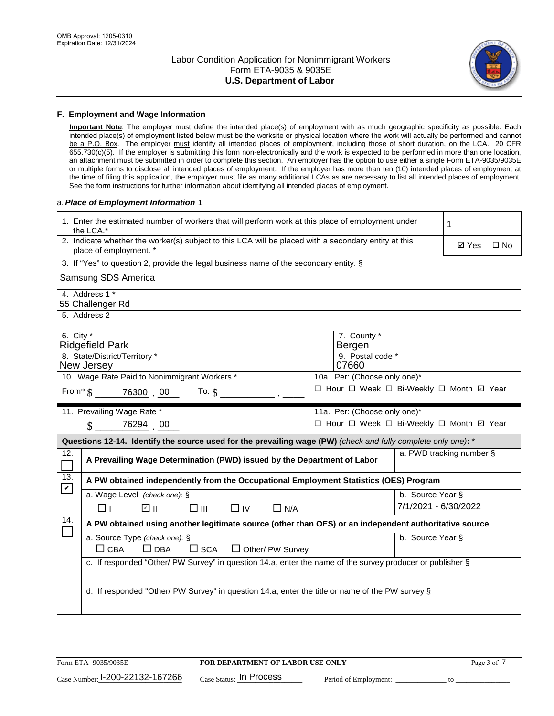

### **F. Employment and Wage Information**

**Important Note**: The employer must define the intended place(s) of employment with as much geographic specificity as possible. Each intended place(s) of employment listed below must be the worksite or physical location where the work will actually be performed and cannot be a P.O. Box. The employer must identify all intended places of employment, including those of short duration, on the LCA. 20 CFR 655.730(c)(5). If the employer is submitting this form non-electronically and the work is expected to be performed in more than one location, an attachment must be submitted in order to complete this section. An employer has the option to use either a single Form ETA-9035/9035E or multiple forms to disclose all intended places of employment. If the employer has more than ten (10) intended places of employment at the time of filing this application, the employer must file as many additional LCAs as are necessary to list all intended places of employment. See the form instructions for further information about identifying all intended places of employment.

### a.*Place of Employment Information* 1

|                             | 1. Enter the estimated number of workers that will perform work at this place of employment under<br>the LCA.*                 |  | 1                                        |                          |              |              |  |  |
|-----------------------------|--------------------------------------------------------------------------------------------------------------------------------|--|------------------------------------------|--------------------------|--------------|--------------|--|--|
|                             | 2. Indicate whether the worker(s) subject to this LCA will be placed with a secondary entity at this<br>place of employment. * |  |                                          |                          | <b>Ø</b> Yes | $\square$ No |  |  |
|                             | 3. If "Yes" to question 2, provide the legal business name of the secondary entity. §                                          |  |                                          |                          |              |              |  |  |
|                             | Samsung SDS America                                                                                                            |  |                                          |                          |              |              |  |  |
|                             | 4. Address 1 *<br>55 Challenger Rd                                                                                             |  |                                          |                          |              |              |  |  |
|                             | 5. Address 2                                                                                                                   |  |                                          |                          |              |              |  |  |
| 6. City $*$                 | <b>Ridgefield Park</b>                                                                                                         |  | 7. County *<br>Bergen                    |                          |              |              |  |  |
|                             | 8. State/District/Territory *<br>New Jersey                                                                                    |  | 9. Postal code *<br>07660                |                          |              |              |  |  |
|                             | 10. Wage Rate Paid to Nonimmigrant Workers *                                                                                   |  | 10a. Per: (Choose only one)*             |                          |              |              |  |  |
|                             | □ Hour □ Week □ Bi-Weekly □ Month ☑ Year<br>From $\frac{1}{5}$ 76300 00<br>To: $$$                                             |  |                                          |                          |              |              |  |  |
|                             | 11. Prevailing Wage Rate *                                                                                                     |  | 11a. Per: (Choose only one)*             |                          |              |              |  |  |
|                             | $\sin 76294$ 00                                                                                                                |  | □ Hour □ Week □ Bi-Weekly □ Month ☑ Year |                          |              |              |  |  |
|                             | Questions 12-14. Identify the source used for the prevailing wage (PW) (check and fully complete only one): *                  |  |                                          |                          |              |              |  |  |
| 12.                         | A Prevailing Wage Determination (PWD) issued by the Department of Labor                                                        |  |                                          | a. PWD tracking number § |              |              |  |  |
| 13.<br>$\blacktriangledown$ | A PW obtained independently from the Occupational Employment Statistics (OES) Program                                          |  |                                          |                          |              |              |  |  |
|                             | a. Wage Level (check one): §                                                                                                   |  |                                          | b. Source Year §         |              |              |  |  |
|                             | ☑ ⊪<br>□Ⅲ<br>$\Box$ IV<br>⊓⊥<br>$\Box$ N/A                                                                                     |  |                                          | 7/1/2021 - 6/30/2022     |              |              |  |  |
| 14.                         | A PW obtained using another legitimate source (other than OES) or an independent authoritative source                          |  |                                          |                          |              |              |  |  |
|                             | a. Source Type (check one): §<br>b. Source Year §<br>$\Box$ CBA<br>$\Box$ DBA<br>$\square$ SCA<br>$\Box$ Other/ PW Survey      |  |                                          |                          |              |              |  |  |
|                             | c. If responded "Other/ PW Survey" in question 14.a, enter the name of the survey producer or publisher §                      |  |                                          |                          |              |              |  |  |
|                             | d. If responded "Other/ PW Survey" in question 14.a, enter the title or name of the PW survey §                                |  |                                          |                          |              |              |  |  |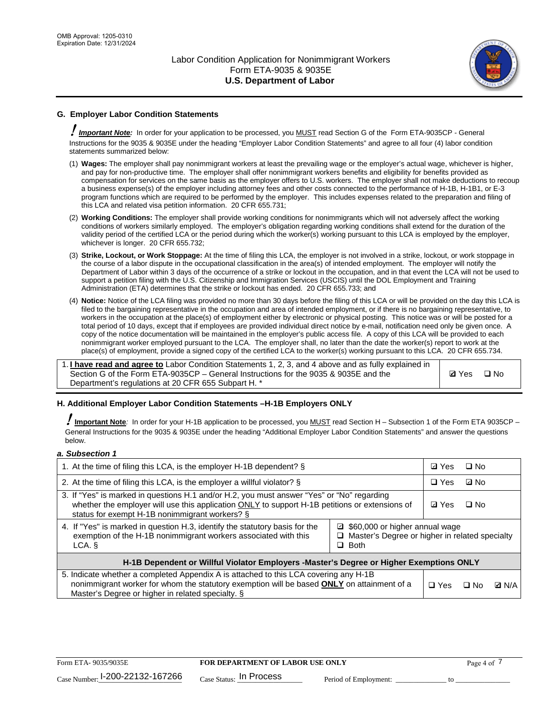

# **G. Employer Labor Condition Statements**

! *Important Note:* In order for your application to be processed, you MUST read Section G of the Form ETA-9035CP - General Instructions for the 9035 & 9035E under the heading "Employer Labor Condition Statements" and agree to all four (4) labor condition statements summarized below:

- (1) **Wages:** The employer shall pay nonimmigrant workers at least the prevailing wage or the employer's actual wage, whichever is higher, and pay for non-productive time. The employer shall offer nonimmigrant workers benefits and eligibility for benefits provided as compensation for services on the same basis as the employer offers to U.S. workers. The employer shall not make deductions to recoup a business expense(s) of the employer including attorney fees and other costs connected to the performance of H-1B, H-1B1, or E-3 program functions which are required to be performed by the employer. This includes expenses related to the preparation and filing of this LCA and related visa petition information. 20 CFR 655.731;
- (2) **Working Conditions:** The employer shall provide working conditions for nonimmigrants which will not adversely affect the working conditions of workers similarly employed. The employer's obligation regarding working conditions shall extend for the duration of the validity period of the certified LCA or the period during which the worker(s) working pursuant to this LCA is employed by the employer, whichever is longer. 20 CFR 655.732;
- (3) **Strike, Lockout, or Work Stoppage:** At the time of filing this LCA, the employer is not involved in a strike, lockout, or work stoppage in the course of a labor dispute in the occupational classification in the area(s) of intended employment. The employer will notify the Department of Labor within 3 days of the occurrence of a strike or lockout in the occupation, and in that event the LCA will not be used to support a petition filing with the U.S. Citizenship and Immigration Services (USCIS) until the DOL Employment and Training Administration (ETA) determines that the strike or lockout has ended. 20 CFR 655.733; and
- (4) **Notice:** Notice of the LCA filing was provided no more than 30 days before the filing of this LCA or will be provided on the day this LCA is filed to the bargaining representative in the occupation and area of intended employment, or if there is no bargaining representative, to workers in the occupation at the place(s) of employment either by electronic or physical posting. This notice was or will be posted for a total period of 10 days, except that if employees are provided individual direct notice by e-mail, notification need only be given once. A copy of the notice documentation will be maintained in the employer's public access file. A copy of this LCA will be provided to each nonimmigrant worker employed pursuant to the LCA. The employer shall, no later than the date the worker(s) report to work at the place(s) of employment, provide a signed copy of the certified LCA to the worker(s) working pursuant to this LCA. 20 CFR 655.734.

1. **I have read and agree to** Labor Condition Statements 1, 2, 3, and 4 above and as fully explained in Section G of the Form ETA-9035CP – General Instructions for the 9035 & 9035E and the Department's regulations at 20 CFR 655 Subpart H. \*

**Ø**Yes ロNo

### **H. Additional Employer Labor Condition Statements –H-1B Employers ONLY**

!**Important Note***:* In order for your H-1B application to be processed, you MUST read Section H – Subsection 1 of the Form ETA 9035CP – General Instructions for the 9035 & 9035E under the heading "Additional Employer Labor Condition Statements" and answer the questions below.

#### *a. Subsection 1*

| 1. At the time of filing this LCA, is the employer H-1B dependent? §                                                                                                                                                                                            |  |  | □ No      |              |
|-----------------------------------------------------------------------------------------------------------------------------------------------------------------------------------------------------------------------------------------------------------------|--|--|-----------|--------------|
| 2. At the time of filing this LCA, is the employer a willful violator? $\S$                                                                                                                                                                                     |  |  | ⊡ No      |              |
| 3. If "Yes" is marked in questions H.1 and/or H.2, you must answer "Yes" or "No" regarding<br>whether the employer will use this application ONLY to support H-1B petitions or extensions of<br>status for exempt H-1B nonimmigrant workers? §                  |  |  | $\Box$ No |              |
| 4. If "Yes" is marked in question H.3, identify the statutory basis for the<br>■ \$60,000 or higher annual wage<br>exemption of the H-1B nonimmigrant workers associated with this<br>□ Master's Degree or higher in related specialty<br>$\Box$ Both<br>LCA. § |  |  |           |              |
| H-1B Dependent or Willful Violator Employers -Master's Degree or Higher Exemptions ONLY                                                                                                                                                                         |  |  |           |              |
| 5. Indicate whether a completed Appendix A is attached to this LCA covering any H-1B<br>nonimmigrant worker for whom the statutory exemption will be based <b>ONLY</b> on attainment of a<br>Master's Degree or higher in related specialty. §                  |  |  | ⊡ No      | <b>Q</b> N/A |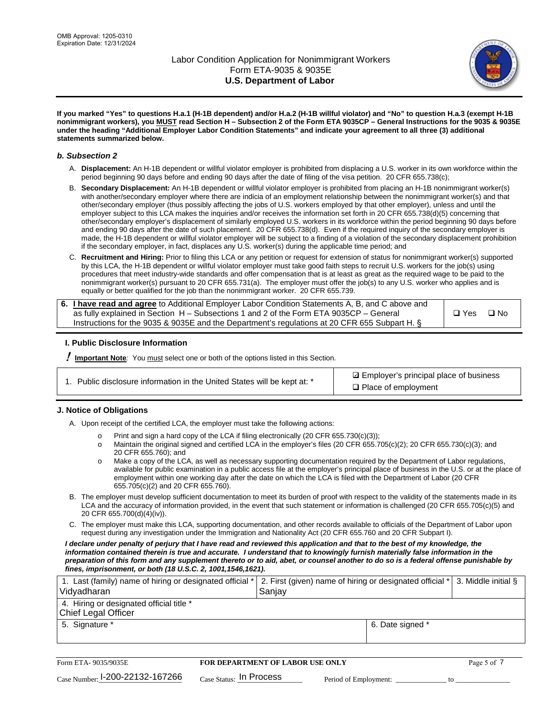

**If you marked "Yes" to questions H.a.1 (H-1B dependent) and/or H.a.2 (H-1B willful violator) and "No" to question H.a.3 (exempt H-1B nonimmigrant workers), you MUST read Section H – Subsection 2 of the Form ETA 9035CP – General Instructions for the 9035 & 9035E under the heading "Additional Employer Labor Condition Statements" and indicate your agreement to all three (3) additional statements summarized below.**

### *b. Subsection 2*

- A. **Displacement:** An H-1B dependent or willful violator employer is prohibited from displacing a U.S. worker in its own workforce within the period beginning 90 days before and ending 90 days after the date of filing of the visa petition. 20 CFR 655.738(c);
- B. **Secondary Displacement:** An H-1B dependent or willful violator employer is prohibited from placing an H-1B nonimmigrant worker(s) with another/secondary employer where there are indicia of an employment relationship between the nonimmigrant worker(s) and that other/secondary employer (thus possibly affecting the jobs of U.S. workers employed by that other employer), unless and until the employer subject to this LCA makes the inquiries and/or receives the information set forth in 20 CFR 655.738(d)(5) concerning that other/secondary employer's displacement of similarly employed U.S. workers in its workforce within the period beginning 90 days before and ending 90 days after the date of such placement. 20 CFR 655.738(d). Even if the required inquiry of the secondary employer is made, the H-1B dependent or willful violator employer will be subject to a finding of a violation of the secondary displacement prohibition if the secondary employer, in fact, displaces any U.S. worker(s) during the applicable time period; and
- C. **Recruitment and Hiring:** Prior to filing this LCA or any petition or request for extension of status for nonimmigrant worker(s) supported by this LCA, the H-1B dependent or willful violator employer must take good faith steps to recruit U.S. workers for the job(s) using procedures that meet industry-wide standards and offer compensation that is at least as great as the required wage to be paid to the nonimmigrant worker(s) pursuant to 20 CFR 655.731(a). The employer must offer the job(s) to any U.S. worker who applies and is equally or better qualified for the job than the nonimmigrant worker. 20 CFR 655.739.

| 6. I have read and agree to Additional Employer Labor Condition Statements A, B, and C above and |       |           |
|--------------------------------------------------------------------------------------------------|-------|-----------|
| as fully explained in Section H – Subsections 1 and 2 of the Form ETA 9035CP – General           | □ Yes | $\Box$ No |
| Instructions for the 9035 & 9035E and the Department's regulations at 20 CFR 655 Subpart H. §    |       |           |

### **I. Public Disclosure Information**

! **Important Note***:* You must select one or both of the options listed in this Section.

**sqrt** Employer's principal place of business □ Place of employment

### **J. Notice of Obligations**

A. Upon receipt of the certified LCA, the employer must take the following actions:

- o Print and sign a hard copy of the LCA if filing electronically (20 CFR 655.730(c)(3));<br>
Maintain the original signed and certified LCA in the employer's files (20 CFR 655.7
- Maintain the original signed and certified LCA in the employer's files (20 CFR 655.705(c)(2); 20 CFR 655.730(c)(3); and 20 CFR 655.760); and
- o Make a copy of the LCA, as well as necessary supporting documentation required by the Department of Labor regulations, available for public examination in a public access file at the employer's principal place of business in the U.S. or at the place of employment within one working day after the date on which the LCA is filed with the Department of Labor (20 CFR 655.705(c)(2) and 20 CFR 655.760).
- B. The employer must develop sufficient documentation to meet its burden of proof with respect to the validity of the statements made in its LCA and the accuracy of information provided, in the event that such statement or information is challenged (20 CFR 655.705(c)(5) and 20 CFR 655.700(d)(4)(iv)).
- C. The employer must make this LCA, supporting documentation, and other records available to officials of the Department of Labor upon request during any investigation under the Immigration and Nationality Act (20 CFR 655.760 and 20 CFR Subpart I).

*I declare under penalty of perjury that I have read and reviewed this application and that to the best of my knowledge, the*  information contained therein is true and accurate. I understand that to knowingly furnish materially false information in the *preparation of this form and any supplement thereto or to aid, abet, or counsel another to do so is a federal offense punishable by fines, imprisonment, or both (18 U.S.C. 2, 1001,1546,1621).*

| 1. Last (family) name of hiring or designated official *   2. First (given) name of hiring or designated official *   3. Middle initial §<br>Vidyadharan | Saniav           |  |
|----------------------------------------------------------------------------------------------------------------------------------------------------------|------------------|--|
| 4. Hiring or designated official title *<br>Chief Legal Officer                                                                                          |                  |  |
| 5. Signature *                                                                                                                                           | 6. Date signed * |  |

| Form ETA-9035/9035E                         | <b>FOR DEPARTMENT OF LABOR USE ONLY</b> |                       |  |
|---------------------------------------------|-----------------------------------------|-----------------------|--|
| $_{\text{Case Number:}}$ 1-200-22132-167266 | $_{\rm Case~S status:}$ In Process      | Period of Employment: |  |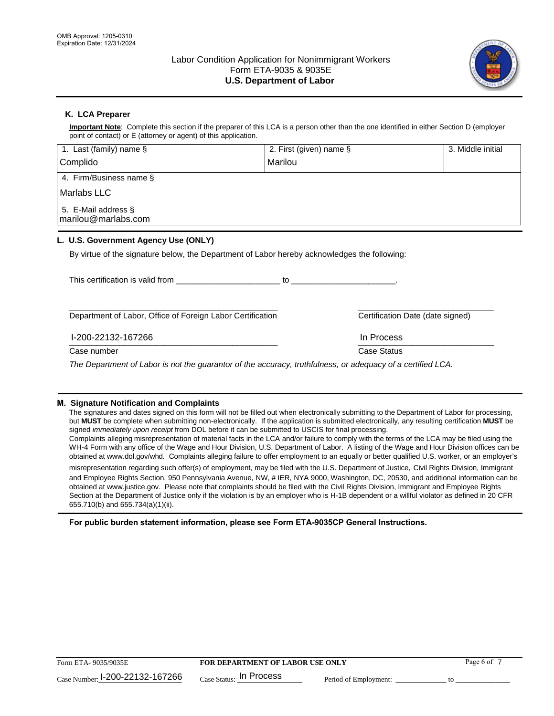

# **K. LCA Preparer**

**Important Note**: Complete this section if the preparer of this LCA is a person other than the one identified in either Section D (employer point of contact) or E (attorney or agent) of this application.

| 1. Last (family) name $\S$                                                                   | 2. First (given) name § |                                  | 3. Middle initial |
|----------------------------------------------------------------------------------------------|-------------------------|----------------------------------|-------------------|
| Complido                                                                                     | Marilou                 |                                  |                   |
| 4. Firm/Business name §                                                                      |                         |                                  |                   |
| l Marlabs LLC                                                                                |                         |                                  |                   |
| 5. E-Mail address §<br>marilou@marlabs.com                                                   |                         |                                  |                   |
| L. U.S. Government Agency Use (ONLY)                                                         |                         |                                  |                   |
| By virtue of the signature below, the Department of Labor hereby acknowledges the following: |                         |                                  |                   |
| This certification is valid from                                                             | to                      |                                  |                   |
| Department of Labor, Office of Foreign Labor Certification                                   |                         | Certification Date (date signed) |                   |
| l-200-22132-167266                                                                           |                         | In Process                       |                   |

 $\frac{1111100688}{1111100688}$ Case number **Case Status** Case Status **Case Status** 

*The Department of Labor is not the guarantor of the accuracy, truthfulness, or adequacy of a certified LCA.*

### **M. Signature Notification and Complaints**

The signatures and dates signed on this form will not be filled out when electronically submitting to the Department of Labor for processing, but **MUST** be complete when submitting non-electronically. If the application is submitted electronically, any resulting certification **MUST** be signed *immediately upon receipt* from DOL before it can be submitted to USCIS for final processing.

Complaints alleging misrepresentation of material facts in the LCA and/or failure to comply with the terms of the LCA may be filed using the WH-4 Form with any office of the Wage and Hour Division, U.S. Department of Labor. A listing of the Wage and Hour Division offices can be obtained at www.dol.gov/whd. Complaints alleging failure to offer employment to an equally or better qualified U.S. worker, or an employer's

misrepresentation regarding such offer(s) of employment, may be filed with the U.S. Department of Justice, Civil Rights Division, Immigrant and Employee Rights Section, 950 Pennsylvania Avenue, NW, # IER, NYA 9000, Washington, DC, 20530, and additional information can be obtained at www.justice.gov. Please note that complaints should be filed with the Civil Rights Division, Immigrant and Employee Rights Section at the Department of Justice only if the violation is by an employer who is H-1B dependent or a willful violator as defined in 20 CFR 655.710(b) and 655.734(a)(1)(ii).

**For public burden statement information, please see Form ETA-9035CP General Instructions.**

| Form ETA-9035/9035E             | <b>FOR DEPARTMENT OF LABOR USE ONLY</b> | Page 6 of             |  |
|---------------------------------|-----------------------------------------|-----------------------|--|
| Case Number: 1-200-22132-167266 | $_{\text{Case Status:}}$ In Process     | Period of Employment: |  |